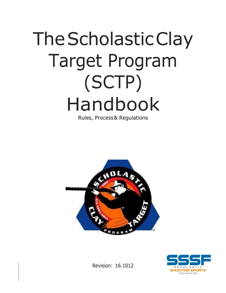# TheScholasticClay Target Program (SCTP) Handbook

Rules, Process& Regulations





Revision: 16.1012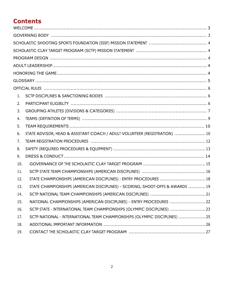# **Contents**

| 1.  |                                                                              |
|-----|------------------------------------------------------------------------------|
| 2.  |                                                                              |
| 3.  |                                                                              |
| 4.  |                                                                              |
| 5.  |                                                                              |
| 6.  | STATE ADVISOR, HEAD & ASSISTANT COACH / ADULT VOLUNTEER (REGISTRATION)  10   |
| 7.  |                                                                              |
| 8.  |                                                                              |
| 9.  |                                                                              |
| 10. |                                                                              |
| 11. |                                                                              |
| 12. | STATE CHAMPIONSHIPS (AMERICAN DISCIPLINES) - ENTRY PROCEDURES  18            |
| 13. | STATE CHAMPIONSHIPS (AMERICAN DISCIPLINES) - SCORING, SHOOT-OFFS & AWARDS 19 |
| 14. |                                                                              |
| 15. | NATIONAL CHAMPIONSHIPS (AMERICAN DISCIPLINES) - ENTRY PROCEDURES  22         |
| 16. | SCTP STATE - INTERNATIONAL TEAM CHAMPIONSHIPS (OLYMPIC DISCIPLINES) 23       |
| 17. | SCTP NATIONAL - INTERNATIONAL TEAM CHAMPIONSHIPS (OLYMPIC DISCIPLINES) 25    |
| 18. |                                                                              |
| 19. |                                                                              |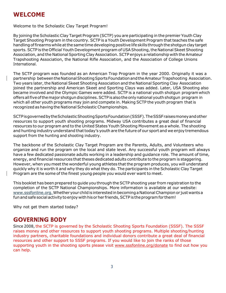# <span id="page-2-0"></span>**WELCOME**

Welcome to the Scholastic Clay Target Program!

By joining the Scholastic Clay Target Program (SCTP) you are participating in the premier Youth Clay Target Shooting Program in the country. SCTP is a Youth Development Program that teaches the safe handling of firearms while at the same time developing positive life skills through the shotgun clay target sports. SCTP is the Official Youth Development program of USA Shooting, the National Skeet Shooting Association, and the National Sporting Clay Association. SCTP enjoys a relationship with the Amateur Trapshooting Association, the National Rifle Association, and the Association of College Unions International.

The SCTP program was founded as an American Trap Program in the year 2000. Originally it was a partnership between the National Shooting Sports Foundation and the Amateur Trapshooting Association. Two years later, the National Skeet Shooting Association and the National Sporting Clay Association joined the partnership and American Skeet and Sporting Clays was added. Later, USA Shooting also became involved and the Olympic Games were added. SCTP is a national youth shotgun programwhich offers all five of the major shotgun disciplines. SCTP is also the only national youth shotgun program in which all other youth programs may join and compete in. Making SCTP the youth program thatis recognized as having the National Scholastic Championships.

SCTPisgovernedbytheScholasticShootingSportsFoundation(SSSF).TheSSSFraisesmoneyandother resources to support youth shooting programs. Midway USA contributes a great deal of financial resources to our program and to the United States Youth Shooting Movement as a whole. The shooting and hunting industry understand that today's youth are the future of our sport and we enjoy tremendous support from the hunting and shooting industry.

The backbone of the Scholastic Clay Target Program are the Parents, Adults, and Volunteers who organize and run the program on the local and state level. Any successful youth program will always have a few dedicated passionate adults working in a leadership and guidance role. The amount of time, energy, and financial resources that theses dedicated adults contribute to the program is staggering. However, when you meet the wonderful young athletes that the program produces, you will understand quickly why it is worth it and why they do what they do. The participants in the Scholastic Clay Target Program are the some of the finest young-people you would ever want to meet.

This booklet has been prepared to guide you through the SCTP shooting year from registration to the completion of the SCTP National Championships. More information is available at our website: www.sssfonline.org. Whether your child is interested in becoming a National Champion or just wants a fun and safe social activity to enjoy with his or her friends, SCTP is the program for them!

Why not get them started today?

# <span id="page-2-1"></span>**GOVERNING BODY**

Since 2008, the SCTP is governed by the Scholastic Shooting Sports Foundation (SSSF). The SSSF raises money and other resources to support youth shooting programs. Multiple shooting/hunting industry partners, charitable foundations and individual donors contribute a great deal of financial resources and other support to SSSF programs. If you would like to join the ranks of those supporting youth in the shooting sports please visit [www.sssfonline.org/donate](http://www.sssfonline.org/donate) to find out how you can help.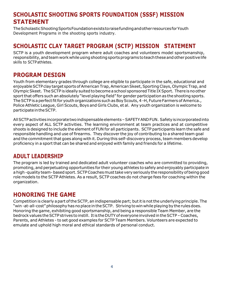# <span id="page-3-0"></span>**SCHOLASTIC SHOOTING SPORTS FOUNDATION (SSSF) MISSION STATEMENT**

The Scholastic Shooting Sports Foundation exists to raise funding and other resources for Youth Development Programs in the shooting sports industry.

# <span id="page-3-1"></span>**SCHOLASTIC CLAY TARGET PROGRAM (SCTP) MISSION STATEMENT**

SCTP is a youth development program where adult coaches and volunteers model sportsmanship, responsibility, and team work while using shooting sports programs to teach these and other positive life skills to SCTPathletes.

# <span id="page-3-2"></span>**PROGRAM DESIGN**

Youth from elementary grades through college are eligible to participate in the safe, educational and enjoyable SCTP clay target sports of American Trap, American Skeet, Sporting Clays, Olympic Trap, and Olympic Skeet. The SCTP is ideally suited to become a school sponsored Title IX Sport. There is no other sportthat offers such an absolutely "level playing field" for gender participation as the shooting sports. The SCTP is a perfect fit for youth organizations such as Boy Scouts, 4 -H, Future Farmers of America., Police Athletic League, Girl Scouts, Boys and Girls Clubs, et al. Any youth organization is welcome to participateintheSCTP.

AllSCTPactivitiesincorporatetwoindispensableelements–SAFETYANDFUN. Safetyisincorporatedinto every aspect of ALL SCTP activities. The learning environment at team practices and at competitive shoots is designed to include the element of FUN for all participants. SCTP participants learn the safe and responsible handling and use of firearms. They discover the joy of contributing to a shared team goal and the commitment that goes along with it. During this self-discovery process, team members develop proficiency in a sport that can be shared and enjoyed with family and friends for a lifetime.

# <span id="page-3-3"></span>**ADULT LEADERSHIP**

The program is led by trained and dedicated adult volunteer coaches who are committed to providing, promoting, and perpetuating opportunities for their young athletes to safely and enjoyably participate in a high-quality team-based sport. SCTP Coaches must take very seriously the responsibility of being good role models to the SCTP Athletes. As a result, SCTP coaches do not charge fees for coaching within the organization.

# <span id="page-3-4"></span>**HONORING THE GAME**

Competition is clearly a part of the SCTP, an indispensable part; but it is not the underlying principle. The "win -at-all-cost"philosophyhasnoplace intheSCTP. Striving to win while playing by the rulesdoes. Honoring the game, exhibiting good sportsmanship, and being a responsible Team Member, are the bedrock values the SCTP strives to instill. It is the DUTY of everyone involved in the SCTP - Coaches, Parents, and Athletes - to set good examples for SCTP Team Members. Volunteers are expected to emulate and uphold high moral and ethical standards of personal conduct.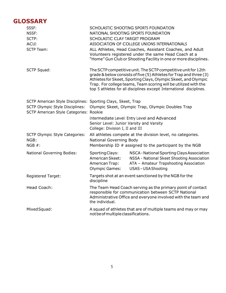# <span id="page-4-0"></span>**GLOSSARY**

| SSSF:<br>NSSF:<br>SCTP:<br>ACUI:<br><b>SCTP Team:</b>                                                                                            | SCHOLASTIC SHOOTING SPORTS FOUNDATION<br>NATIONAL SHOOTING SPORTS FOUNDATION<br>SCHOLASTIC CLAY TARGET PROGRAM<br>ASSOCIATION OF COLLEGE UNIONS INTERNATIONALS<br>ALL Athletes, Head Coaches, Assistant Coaches, and Adult<br>Volunteers registered under the same Head Coach at a<br>"Home" Gun Club or Shooting Facility in one or more disciplines. |                                                                                                                                                                                                                                                                                                                                                  |  |
|--------------------------------------------------------------------------------------------------------------------------------------------------|--------------------------------------------------------------------------------------------------------------------------------------------------------------------------------------------------------------------------------------------------------------------------------------------------------------------------------------------------------|--------------------------------------------------------------------------------------------------------------------------------------------------------------------------------------------------------------------------------------------------------------------------------------------------------------------------------------------------|--|
| <b>SCTP Squad:</b>                                                                                                                               |                                                                                                                                                                                                                                                                                                                                                        | The SCTP competitive unit. The SCTP competitive unit for 12th<br>grade & below consists of five (5) Athletes for Trap and three (3)<br>Athletes for Skeet, Sporting Clays, Olympic Skeet, and Olympic<br>Trap. For college teams, Team scoring will be utilized with the<br>top 5 athletes for all disciplines except International disciplines. |  |
| SCTP American Style Disciplines: Sporting Clays, Skeet, Trap<br><b>SCTP Olympic Style Disciplines:</b><br>SCTP American Style Categories: Rookie | Olympic Skeet, Olympic Trap, Olympic Doubles Trap<br>Intermediate Level: Entry Level and Advanced<br>Senior Level: Junior Varsity and Varsity<br>College: Division I, II and III                                                                                                                                                                       |                                                                                                                                                                                                                                                                                                                                                  |  |
| <b>SCTP Olympic Style Categories:</b><br>NGB:<br>NGB #:                                                                                          | All athletes compete at the division level, no categories.<br>National Governing Body<br>Membership ID $#$ assigned to the participant by the NGB                                                                                                                                                                                                      |                                                                                                                                                                                                                                                                                                                                                  |  |
| <b>National Governing Bodies:</b>                                                                                                                | Sporting Clays:<br>American Skeet:<br>American Trap:<br><b>Olympic Games:</b>                                                                                                                                                                                                                                                                          | NSCA - National Sporting Clays Association<br>NSSA - National Skeet Shooting Association<br>ATA - Amateur Trapshooting Association<br><b>USAS-USA Shooting</b>                                                                                                                                                                                   |  |
| Registered Target:                                                                                                                               | Targets shot at an event sanctioned by the NGB for the<br>discipline                                                                                                                                                                                                                                                                                   |                                                                                                                                                                                                                                                                                                                                                  |  |
| Head Coach:                                                                                                                                      | The Team Head Coach serving as the primary point of contact<br>responsible for communication between SCTP National<br>Administrative Office and everyone involved with the team and<br>the individual.                                                                                                                                                 |                                                                                                                                                                                                                                                                                                                                                  |  |
| Mixed Squad:                                                                                                                                     | not be of multiple classifications.                                                                                                                                                                                                                                                                                                                    | A squad of athletes that are of multiple teams and may or may                                                                                                                                                                                                                                                                                    |  |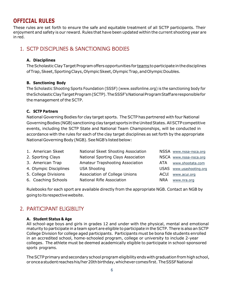# <span id="page-5-0"></span>**OFFICIAL RULES**

These rules are set forth to ensure the safe and equitable treatment of all SCTP participants. Their enjoyment and safety is our reward. Rules that have been updated within the current shooting year are in red.

## <span id="page-5-1"></span>1. SCTP DISCIPLINES & SANCTIONING BODIES

#### **A. Disciplines**

The Scholastic Clay Target Program offers opportunities for teams to participate in the disciplines ofTrap,Skeet,SportingClays,OlympicSkeet,OlympicTrap,andOlympicDoubles.

#### **B. Sanctioning Body**

The Scholastic Shooting Sports Foundation (SSSF) (www.sssfonline.org) is the sanctioning body for the Scholastic Clay Target Program (SCTP). The SSSF's National Program Staff are responsible for the management of the SCTP.

#### **C. SCTP Partners**

National Governing Bodies for clay target sports. The SCTP has partnered with four National Governing Bodies (NGB) sanctioning clay target sports in the United States. All SCTP competitive events, including the SCTP State and National Team Championships, will be conducted in accordance with the rules for each of the clay target disciplines as set forth by the appropriate National Governing Body (NGB). See NGB's listed below:

| 1. American Skeet      | National Skeet Shooting Association |            | NSSA www.nssa-nsca.org   |
|------------------------|-------------------------------------|------------|--------------------------|
| 2. Sporting Clays      | National Sporting Clays Association |            | NSCA www.nssa-nsca.org   |
| 3. American Trap       | Amateur Trapshooting Association    | ATA        | www.shootata.com         |
| 4. Olympic Disciplines | <b>USA Shooting</b>                 |            | USAS www.usashooting.org |
| 5. College Divisions   | Association of College Unions       | ACUI       | www.acui.org             |
| 6. Coaching Schools    | <b>National Rifle Association</b>   | <b>NRA</b> | www.nra.org              |

Rulebooks for each sport are available directly from the appropriate NGB. Contact an NGB by going to its respective website.

# <span id="page-5-2"></span>2. PARTICIPANT ELIGIBILITY

#### **A. Student Status & Age**

All school-age boys and girls in grades 12 and under with the physical, mental and emotional maturity to participate in a team sport are eligible to participate in the SCTP. There is also an SCTP College Division for college aged participants. Participants must be bona fide students enrolled in an accredited school, home-schooled program, college or university to include 2-year colleges. The athlete must be deemed academically eligible to participate in school-sponsored sports programs.

The SCTP primary and secondary school program eligibility ends with graduation from high school, oronceastudent reacheshis/her20thbirthday,whichevercomesfirst. TheSSSFNational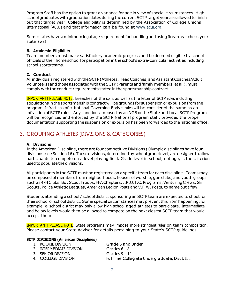Program Staff has the option to grant a variance for age in view of special circumstances. High school graduates with graduation dates during the current SCTP target year are allowed to finish out that target year. College eligibility is determined by the Association of College Unions International (ACUI) and that information can be found at [www.acui.org.](http://www.acui.org/)

Some states have a minimum legal age requirement for handling and using firearms - check your state laws!

#### **B. Academic Eligibility**

Team members must make satisfactory academic progress and be deemed eligible by school officials of their home school for participation in the school's extra-curricular activities including school sports teams.

#### **C. Conduct**

All individuals registered with the SCTP (Athletes, Head Coaches, and Assistant Coaches/Adult Volunteers) and those associated with the SCTP (Parents and family members, et al.), must comply with the conduct requirements stated in the sportsmanship contract.

IMPORTANT! PLEASE NOTE: Breaches of the spirit as well as the letter of SCTP rules including stipulations in the sportsmanship contract will be grounds for suspension or expulsion from the program. Infractions of a National Governing Body's rules will be considered the same as an infraction of SCTP rules. Any sanctions imposed by an NGB or the State and Local SCTP Program will be recognized and enforced by the SCTP National program staff, provided the proper documentation supporting the suspension or expulsion has been forwarded to the national office.

# <span id="page-6-0"></span>3. GROUPING ATHLETES (DIVISIONS & CATEGORIES)

#### **A. Divisions**

In the American Discipline, there are four competitive Divisions (Olympic disciplines have four divisions, see Section 16). These divisions, determined by school grade level, are designed to allow participants to compete on a level playing field. Grade level in school, not age, is the criterion used to populate the divisions.

All participants in the SCTP must be registered on a specific team for each discipline. Teams may be composed of members from neighborhoods, houses of worship, gun clubs, and youth groups such as 4-H Clubs, Boy Scout Troops, FFA Chapters, J.R.O.T.C. Programs, Venturing Crews, Girl Scouts, Police Athletic Leagues, American Legion Posts and V.F.W. Posts, to name but a few.

Students attending a school / school district sponsoring an SCTP team are expected to shoot for their school or school district. Some special circumstances may prevent this from happening, for example, a school district may only allow high school aged athletes to participate. Intermediate and below levels would then be allowed to compete on the next closest SCTP team that would accept them.

IMPORTANT! PLEASE NOTE: State programs may impose more stringent rules on team composition. Please contact your State Advisor for details pertaining to your State's SCTP guidelines.

#### **SCTP DIVISIONS (American Disciplines)**

| 1. ROOKIE DIVISION       | Grade 5 and Under                                   |
|--------------------------|-----------------------------------------------------|
| 2. INTERMEDIATE DIVISION | Grades $6 - 8$                                      |
| 3. SENIOR DIVISION       | Grades $9 - 12$                                     |
| 4. COLLEGE DIVISION      | Full Time Collegiate Undergraduate; Div. I, II, III |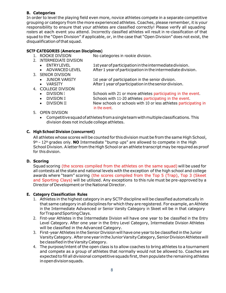#### **B. Categories**

In order to level the playing field even more, novice athletes compete in a separate competitive grouping or category from the more experienced athletes. Coaches, please remember, it is your responsibility to ensure that your athletes are classified correctly! Please verify all squading rosters at each event you attend. Incorrectly classified athletes will result in re-classification of that squad to the "Open Division" if applicable, or, in the case that "Open Division" does not exist, the disqualification ofthat squad.

#### **SCTP CATEGORIES (American Disciplines)**

1. ROOKIE DIVISION No categories in rookie division.

- 2. INTERMEDIATE DIVISION
	- ENTRYLEVEL 1styearofparticipationintheintermediatedivision.
	- ADVANCED LEVEL After1yearofparticipationintheintermediatedivision.
- 3. SENIOR DIVISION
	- JUNIOR VARSITY 1st year of participation in the senior division.
	- VARSITY After1yearofparticipationintheseniordivision.
- 4. COLLEGE DIVISION
	- DIVISION I Schools with 21 or more athletes participating in the event.
	- DIVISION II Schools with 11-20 athletes participating in the event.
	- DIVISION III New schools or schools with 10 or less athletes participating in in the event.
- 5. OPEN DIVISION
	- Competitivesquadofathletesfromasingleteamwithmultipleclassifications.This division does not include college athletes.

## **C. High School Division (concurrent)**

All athletes whose scores will be counted for this division must be from the same High School, 9th – 12th grades only. **NO** Intermediate "bump ups" are allowed to compete in the High School Division. Aletter from the High School or an athlete transcript may be required as proof for this division.

## **D. Scoring**

Squad scoring (the scores compiled from the athletes on the same squad) will be used for all contests atthe state and national levels with the exception of the high school and college awards where "team" scoring (the scores compiled from the Top 5 (Trap), Top 3 (Skeet and Sporting Clays) will be utilized. Any exceptions to this rule must be pre-approved by a Director of Development or the National Director.

## **E. Category Classification Rules**

- 1. Athletes in the highest category in any SCTP discipline will be classified automatically in that same category in all disciplines for which they are registered. For example, an Athlete in the Intermediate Advanced or Senior Varsity Category in Skeet will be in that category forTrapandSportingClays.
- 2. First-year Athletes in the Intermediate Division will have one year to be classified in the Entry Level Category. After one year in the Entry Level Category, Intermediate Division Athletes will be classified in the Advanced Category.
- 3. First-year Athletes in theSenior Division will have one year to be classified in the Junior VarsityCategory. Afteroneyear intheJuniorVarsityCategory,SeniorDivisionAthleteswill be classified in the Varsity Category.
- 4. The purpose/intent of the open class is to allow coaches to bring athletes to a tournament and compete as a group of athletes that normally would not be allowed to. Coaches are expected to fill all divisional competitive squads first, then populate the remaining athletes inopendivisionsquads.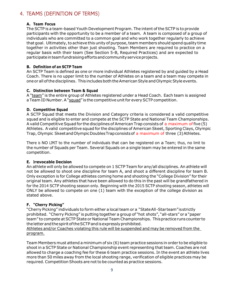# <span id="page-8-0"></span>4. TEAMS (DEFINITION OF TERMS)

#### **A. Team Focus**

The SCTP is a team-based Youth Development Program. The intent of the SCTP is to provide participants with the opportunity to be a member of a team. A team is composed of a group of individuals who are committed to a common goal and who work together regularly to achieve that goal. Ultimately, to achieve this unity of purpose, team members should spend quality time together in activities other than just shooting. Team Members are required to practice on a regular basis with their team (See Section 5-B, Required Practices) and are expected to participate in team fundraising efforts and community service projects.

#### **B. Definition of an SCTP Team**

An SCTP Team is defined as one or more individual Athletes registered by and guided by a Head Coach. There is no upper limit to the number of Athletes on a team and a team may compete in one or all of the disciplines. This includes both the American Style and Olympic Style events.

#### **C. Distinction between Team & Squad**

A "team" is the entire group of Athletes registered under a Head Coach. Each team is assigned a Team ID Number. A "squad" is the competitive unit for every SCTP competition.

#### **D. Competitive Squad**

A SCTP Squad that meets the Division and Category criteria is considered a valid competitive squad and is eligible to enter and compete at the SCTP State and National Team Championships. A valid Competitive Squad for the disciplines of American Trap consists of a maximum of five (5) Athletes. Avalid competitive squad for the disciplines of American Skeet, Sporting Clays, Olympic Trap, Olympic SkeetandOlympicDoublesTrapconsistsof a maximum of three (3)Athletes.

There is NO LIMIT to the number of individuals that can be registered on a Team; thus, no limit to the number of Squads per Team. Several Squads on a single team may be entered in the same competition.

#### **E. Irrevocable Decision**

An athlete will only be allowed to compete on 1 SCTP Team for any/all disciplines. An athlete will not be allowed to shoot one discipline for team A, and shoot a different discipline for team B. Only exception is for College athletes coming home and shooting the "College Division" for their original team. Any athletes that have been allowed to do this in the past will be grandfathered in for the 2014 SCTP shooting season only. Beginning with the 2015 SCTP shooting season, athletes will ONLY be allowed to compete on one (1) team with the exception of the college division as stated above.

#### **F. "Cherry Picking"**

"Cherry Picking" individuals to form either a local team or a "StateAll-Starteam"isstrictly prohibited. "Cherry Picking" is putting together a group of "hot shots", "all-stars" or a "paper team" to compete at SCTP State or National Team Championships. Thispracticerunscounter to the letter and the spirit of the SCTP and is expressly prohibited.

Athletes and/or Coaches violating this rule will be suspended and may be removed from the program.

Team Members must attend a minimum of six (6) team practice sessions in order to be eligible to shoot in a SCTP State or National Championship event representing that team. Coaches are not allowed to charge a coaching fee for these 6 team practice sessions. In the event an athlete lives more than 50 miles away from the local shooting range, verification of eligible practices may be required. Competition Shoots are not to be counted as practice sessions.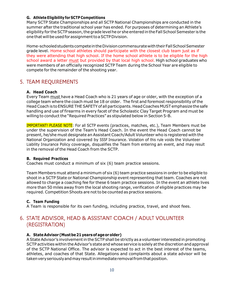#### **G. AthleteEligibility for SCTP Competitions**

Many SCTP State Championships and all SCTP National Championships are conducted in the summer after the traditional school year has ended. For purposes of determining an Athlete's eligibility for the SCTP season, the grade level he or she entered in the Fall School Semester is the one that will be used for assignment to a SCTP Division.

Home-schooledstudents competeintheDivisioncommensuratewiththeirFallSchoolSemester grade level. Home school athletes should participate with the closest club team just as if they were attending that high school. If the home school athlete is to be eligible for the high school award a letter must but provided by that local high school. High school graduates who were members of an officially recognized SCTP Team during the School Year are eligible to compete for the remainder of the shooting year.

## <span id="page-9-0"></span>5. TEAM REQUIREMENTS

#### **A. Head Coach**

Every Team must have a Head Coach who is 21 years of age or older, with the exception of a college team where the coach must be 18 or older. The first and foremost responsibility of the HeadCoach is toENSURE THESAFETY ofall participants. HeadCoaches MUST emphasize the safe handling and use of firearms in every facet of the Scholastic Clay Target Program and must be willing to conduct the "Required Practices" as stipulated below in Section 5-B.

IMPORTANT! PLEASE NOTE: For all SCTP events (practices, matches, etc.), Team Members must be under the supervision of the Team's Head Coach. In the event the Head Coach cannot be present, he/she must designate an Assistant Coach/Adult Volunteer who is registered with the National Organization and covered by SSSF Insurance. Violation of this rule voids the Volunteer Liability Insurance Policy coverage, disqualifies the Team from entering an event, and may result in the removal of the Head Coach from the SCTP.

#### **B. Required Practices**

Coaches must conduct a minimum of six (6) team practice sessions.

Team Members must attend a minimum of six (6) team practice sessions in order to be eligible to shoot in a SCTP State or National Championship event representing that team. Coaches are not allowed to charge a coaching fee for these 6 team practice sessions. In the event an athlete lives more than 50 miles away from the local shooting range, verification of eligible practices may be required. Competition Shoots are not to be counted as practice sessions.

#### **C. Team Funding**

A Team is responsible for its own funding, including practice, travel, and shoot fees.

# <span id="page-9-1"></span>6. STATE ADVISOR, HEAD & ASSISTANT COACH / ADULT VOLUNTEER (REGISTRATION)

#### **A. StateAdvisor(Mustbe21 yearsofageorolder)**

A State Advisor's involvement in the SCTP shall be strictly as a volunteer interested in promoting SCTP activities within the Advisor's state and whose service is solely at the discretion and approval of the SCTP National Office. The advisor is expected to act in the best interest of the teams, athletes, and coaches of that State. Allegations and complaints about a state advisor will be takenveryseriouslyandmayresultinimmediateremovalfromthatposition.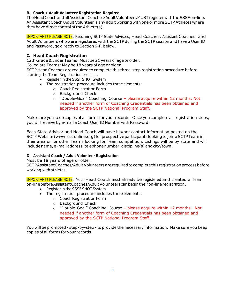#### **B. Coach / Adult Volunteer Registration Required**

TheHeadCoachandallAssistantCoaches/AdultVolunteersMUSTregisterwiththeSSSFon-line. An Assistant Coach/Adult Volunteer is any adult working with one or more SCTP Athletes where they have direct control of the Athlete $(s)$ .

IMPORTANT! PLEASE NOTE: Returning SCTP State Advisors, Head Coaches, Assistant Coaches, and Adult Volunteers who were registered with the SCTP during the SCTP season and have a User ID and Password, go directly to Section 6-F, below.

#### **C. Head Coach Registration**

12th Grade & under Teams: Must be 21 years of age or older.

Collegiate Teams: May be 18 years of age or older.

SCTP Head Coaches are required to complete this three-step registration procedure before starting the Team Registration process:

- Register in the SSSF SHOT System
- The registration procedure includes three elements:
	- o CoachRegistrationForm
	- o Background Check
	- $\circ$  "Double-Goal" Coaching Course please acquire within 12 months. Not needed if another form of Coaching Credentials has been obtained and approved by the SCTP National Program Staff.

Make sure you keep copies of all forms for your records. Once you complete all registration steps, you will receive by e-mail a Coach User ID Number with Password.

Each State Advisor and Head Coach will have his/her contact information posted on the SCTP Website (www.sssfonline.org) for prospective participants looking to join a SCTP Team in their area or for other Teams looking for Team competition. Listings will be by state and will include name, e-mail address, telephone number, discipline(s) and city/town.

#### **D. Assistant Coach / Adult Volunteer Registration**

Must be 18 years of age or older.

SCTPAssistantCoaches/AdultVolunteersarerequiredtocompletethisregistrationprocessbefore working with athletes.

IMPORTANT! PLEASE NOTE: Your Head Coach must already be registered and created a Team on-linebeforeAssistantCoaches/AdultVolunteerscanbegintheiron-lineregistration.

- Register in the SSSF SHOT System
- The registration procedure includes three elements:
	- o CoachRegistrationForm
	- o Background Check
	- $\circ$  "Double-Goal" Coaching Course please acquire within 12 months. Not needed if another form of Coaching Credentials has been obtained and approved by the SCTP National Program Staff.

You will be prompted - step-by-step - to provide the necessary information. Make sure you keep copies of all forms for your records.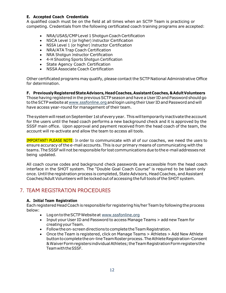#### **E. Accepted Coach Credentials**

A qualified coach must be on the field at all times when an SCTP Team is practicing or competing. Credentials from the following certificated coach training programs are accepted:

- NRA/USAS/CMP Level 1Shotgun Coach Certification
- NSCA Level 1 (or higher) Instructor Certification
- NSSA Level 1 (or higher) Instructor Certification
- NRA/ATA Trap Coach Certification
- NRA Shotgun Instructor Certification
- 4-H Shooting Sports Shotgun Certification
- State Agency Coach Certification
- NSSA Associate Coach Certification

Other certificated programs may qualify, please contact the SCTP National Administrative Office for determination.

**F. PreviouslyRegisteredStateAdvisors,HeadCoaches,AssistantCoaches,&AdultVolunteers**  Those having registered in the previous SCTP season and have a User ID and Password should go to the SCTP website at [www.sssfonline.org](http://www.sssfonline.organd/) and login using their User ID and Password and will have access year-round for management of their team.

The system will reset on September 1st of every year. This will temporarily inactivate the account for the users until the head coach performs a new background check and it is approved by the SSSF main office. Upon approval and payment received from the head coach of the team, the account will re-activate and allow the team to access all tools.

IMPORTANT! PLEASE NOTE: In order to communicate with all of our coaches, we need the users to ensure accuracy of the e-mail accounts. This is our primary means of communicating with the teams.TheSSSF willnotbe responsible for lost communications due tothe e-mail addressesnot being updated.

All coach course codes and background check passwords are accessible from the head coach interface in the SHOT system. The "Double Goal Coach Course" is required to be taken only once. Until the registration process is completed, State Advisors, Head Coaches, and Assistant Coaches/Adult Volunteers will be locked out of accessing the full tools of the SHOT system.

# <span id="page-11-0"></span>7. TEAM REGISTRATION PROCEDURES

#### **A. Initial Team Registration**

Each registered Head Coach is responsible for registering his/her Team by following the process below:

- Log on to the SCTP Website at [www.sssfonline.org](http://www.sssfonline.org/)
- Input your User ID and Password to access Manage Teams > add new Team for creatingyourTeam.
- Follow the on-screen directions to complete the Team Registration.
- Once the Team is registered, click on Manage Teams > Athletes > Add New Athlete buttontocompletetheon-lineTeamRosterprocess.TheAthleteRegistration-Consent &WaiverFormregistersindividualAthletes;theTeamRegistrationFormregistersthe TeamwiththeSSSF.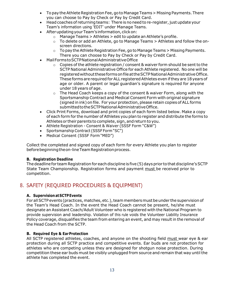- To pay the Athlete Registration Fee, go to Manage Teams > Missing Payments. There you can choose to Pay by Check or Pay by Credit Card.
- Head coaches of returning teams: There is no need to re-register, just update your Team's information using 'EDIT' under Manage Teams.
- AfterupdatingyourTeam'sinformation,clickon:
	- o Manage Teams > Athletes > edit to update an Athlete's profile.
	- $\circ$  To delete or add an Athlete, go to Manage Teams  $>$  Athletes and follow the onscreen directions.
	- $\circ$  To pay the Athlete Registration Fee, go to Manage Teams > Missing Payments. There you can choose to Pay by Check or Pay by Credit Card.
- MailFormstoSCTPNationalAdministrativeOffice
	- $\circ$  Copies of the athlete registration / consent & waiver form should be sent to the SCTP National Administrative Office for each Athlete registered. No one will be registered without these forms on file at the SCTP National Administrative Office. These forms are required for ALL registered Athletes even if they are 18 years of age or older. A parent or legal guardian's signature is required for anyone under 18 years of age.
	- $\circ$  The Head Coach keeps a copy of the consent & waiver Form, along with the Sportsmanship Contract and Medical Consent Form with original signature (signed in ink) on file. For your protection, please retain copies of ALL forms submittedtotheSCTPNationalAdministrativeOffice.
- Click Print Forms, download and print copies of each form listed below. Make a copy of each form for the number of Athletes you plan to register and distribute the forms to Athletes or their parents to complete, sign, and return to you.
- Athlete Registration Consent & Waiver (SSSF Form "C&W")
- Sportsmanship Contract (SSSF Form "SC")
- Medical Consent (SSSF Form "MED")

Collect the completed and signed copy of each form for every Athlete you plan to register beforebeginningtheon-lineTeamRegistrationprocess.

#### **B. Registration Deadline**

The deadline for team Registration for each discipline is five (5) days prior to that discipline's SCTP State Team Championship. Registration forms and payment must be received prior to competition.

# <span id="page-12-0"></span>8. SAFETY (REQUIRED PROCEDURES & EQUIPMENT)

#### **A. Supervision atSCTPEvents**

For all SCTP events (practices, matches, etc.), team members must be under the supervision of the Team's Head Coach. In the event the Head Coach cannot be present, he/she must designate an Assistant Coach/Adult Volunteer who is registered with the National Program to provide supervision and leadership. Violation of this rule voids the Volunteer Liability Insurance Policy coverage, disqualifies the team from entering an event, and may result in the removal of the Head Coach from the SCTP.

#### **B. Required Eye & EarProtection**

All SCTP registered athletes, coaches, and anyone on the shooting field must wear eye & ear protection during all SCTP practice and competitive events. Ear buds are not protection for athletes who are competing unless they are designed for shotgun noise protection. During competition these ear buds must be visibly unplugged from source and remain that way until the athlete has completed the event.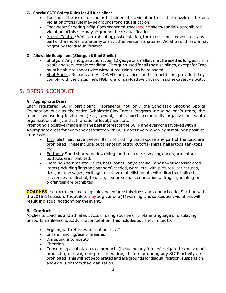#### **C. Special SCTP Safety Rules for All Disciplines**

- Toe Pads: The use oftoepads is forbidden. Itis aviolation to restthemuzzle on the foot. Violationofthis rulemaybegrounds fordisqualification.
- Foot Wear: Shooting in flip-flops or opened-toed/heeled shoes/sandals is prohibited. Violation ofthis rulemaybegroundsfordisqualification.
- Muzzle Control: While on a shooting post or station, the muzzle must never cross any part ofthe shooter's anatomy or any other person's anatomy. Violation ofthis rulemay begroundsfordisqualification.

#### **D. Allowable Equipment (Shotgun & Shot Shells)**

- Shotgun: Any shotgun action type, 12 gauge or smaller, may be used as long as it is in a safe and serviceable condition. Shotguns used for all the disciplines, except for Trap, must be able to shoot twice without requiring it to be reloaded.
- Shot Shells: Reloads are ALLOWED for practices and competitions, provided they comply with the discipline's NGB rule for payload weight and in some cases, velocity.

# <span id="page-13-0"></span>9. DRESS &CONDUCT

#### **A. Appropriate Dress**

Each registered SCTP participant, represents not only the Scholastic Shooting Sports Foundation, but also the entire Scholastic Clay Target Program including one's team, the team's sponsoring institution (e.g., school, club, church, community organization, youth organization, etc.), and at the national level, their state.

Promoting a positive image is in the best interest of the SCTP and everyone involved with it. Appropriate dress for everyone associated with SCTP goes a very long way in making a positive impression.

- Tops: Shirt must have sleeves. Items of clothing that expose any part of the torso are prohibited. These include, but are not limited to, cutoff T-shirts, halter tops, tank tops, etc.
- Bottoms:Shortshortsand lowridingshortsorpantsrevealingundergarmentsor buttocksareprohibited.
- Clothing Adornments: Shirts, hats, pants any clothing and any other associated items (including flags and banners) carried, worn, etc. with pictures, caricatures, designs, messages, writings, or other embellishments with direct or indirect references to alcohol, tobacco, sex or sexual connotations, drugs, gambling or profanities are prohibited.

**COACHES**: You are expected to uphold and enforce this dress and conduct code! Starting with the 2015-16 season. The athlete may be given one  $(1)$  warning, and subsequent violations will result in disqualification from the event.

#### **B. Conduct**

Applies to coaches and athletes… Acts of using abusive or profane language or displaying unsportsmanlikeconductduringcompetition.Thisincludesbutisnotlimitedto:

- Arguing with referees and national staff
- Unsafe handling/use of firearms
- Disrupting a competitor
- Cheating
- Consuming alcohol/tobacco products (including any form of e-cigarettes or "vapor" products), or using non-prescribed drugs before or during any SCTP activity are prohibited. This will not be tolerated and are grounds for disqualification, suspension, andexpulsionfromtheorganization.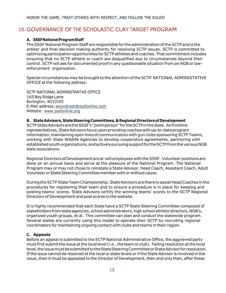## <span id="page-14-0"></span>10. GOVERNANCE OF THE SCHOLASTIC CLAY TARGET PROGRAM

#### **A. SSSFNationalProgramStaff**

The SSSF National Program Staff are responsible for the administration of the SCTP and is the arbiter and final decision making authority for resolving SCTP issues. SCTP is committed to optimizing participation opportunities for SCTP athletes and coaches. That commitment includes ensuring that no SCTP athlete or coach are disqualified due to circumstances beyond their control. SCTP will ask for documented proof in any questionable situation from an NGB or lawenforcement organization.

Special circumstances may be brought to the attention of the SCTP NATIONAL ADMINISTATIVE OFFICE at the following address:

SCTP NATIONAL ADMINISTRATIVE OFFICE 165 BayRidge Lane Burlington, WI53105 E-Mail address[:awondrash@sssfonline.com](mailto:awondrash@sssfonline.com)  Website: [www.sssfonline.org](http://www.sssfonline.org/)

#### **B. StateAdvisors, State Steering Committees, &Regional Directorsof Development**

SCTPStateAdvisorsaretheSSSF's "pointperson" for theSCTPinthestate. Asfrontline representatives, State Advisors focus upon providing coaches with up-to-date program information, maintaining open lines of communication with gun clubs sponsoring SCTP Teams, working with State Wildlife Agencies to develop cooperative agreements, partnering with established youth organizations, and actively pursuing support for the SCTP from the various NGB state associations.

Regional Directors of Development are at-will employees with the SSSF. Volunteer positions are done on an annual basis and serve at the pleasure of the National Program. The National Program may or may not chose to reinstate a State Advisor, Head Coach, Assistant Coach, Adult Volunteer or State Steering Committee member with or without cause.

During the SCTP State Team Championship, State Advisors are there to assist Head Coaches in the procedures for registering their team and to ensure a procedure is in place for keeping and posting teams' scores. State Advisors certify the winning teams' scores to the SCTP Regional Directors of Development and post scores to the website.

It is highly recommended that each State have a SCTP State Steering Committee composed of stakeholders from state agencies, school administrators, high school athletic directors, NGB's, organized youth groups, et al. This committee can plan and conduct the statewide program. Several states are currently using this model to operate their SCTP by recruiting regional coordinators for maintaining ongoing contact with clubs and teams in their region.

#### **C. Appeals**

Before an appeal is submitted to the SCTP National Administrative Office, the aggrieved party must first submit the issue at the local level (i.e., the team or club). Failing resolution at the local level, the issue must be submitted to the State Steering Committee or State Advisor for resolution. Ifthe issue cannot be resolved atthe local or state levels or ifthe State Advisor is involved in the issue, then it must be appealed to the Director of Development, then and only then, after these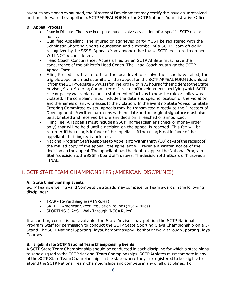avenues have been exhausted, the Director of Development may certify the issue as unresolved and must forward the appellant's SCTP APPEAL FORM to the SCTP National Administrative Office.

#### **D. Appeal Process**

- Issue in Dispute: The issue in dispute must involve a violation of a specific SCTP rule or policy.
- Qualified Appellant: The injured or aggrieved party MUST be registered with the Scholastic Shooting Sports Foundation and a member of a SCTP Team officially recognized by theSSSF. Appeals from anyone other than a SCTP registered member WILLNOTbeconsidered.
- Head Coach Concurrence: Appeals filed by an SCTP Athlete must have the concurrence of the athlete's Head Coach. The Head Coach must sign the SCTP Appeal Form.
- Filing Procedure: If all efforts at the local level to resolve the issue have failed, the eligible appellant must submit a written appeal on the SCTP APPEAL FORM (download itfromtheSCTPwebsitewww.sssfonline.org)within72hoursoftheincidenttotheState Advisor, State Steering Committee or Director of Development specifying which SCTP rule or policy was violated and a statement of facts as to how the rule or policy was violated. The complaint must include the date and specific location of the violation and the names of any witnesses to the violation. In the event no State Advisor or State Steering Committee exists, appeals may be transmitted directly to the Directors of Development. A written hard copy with the date and an original signature must also be submitted and received before any decision is reached or announced.
- Filing Fee: All appeals must include a \$50 filing fee (cashier's check or money order only) that will be held until a decision on the appeal is reached. This fee will be returned if the ruling is in favor of the appellant. If the ruling is not in favor of the appellant, the filing fee is forfeited.
- National Program Staff Response to Appellant: Within thirty (30) days of the receipt of the mailed copy of the appeal, the appellant will receive a written notice of the decision on the appeal. The appellant has the right to appeal the National Program Staff'sdecisiontotheSSSF'sBoardofTrustees. ThedecisionoftheBoardofTrusteesis FINAL.

# <span id="page-15-0"></span>11. SCTP STATE TEAM CHAMPIONSHIPS (AMERICAN DISCIPLINES)

#### **A. State Championship Events**

SCTP Teams entering valid Competitive Squads may compete for Team awards in the following disciplines:

- TRAP-16-Yard Singles (ATA Rules)
- SKEET American Skeet Regulation Rounds (NSSA Rules)
- SPORTING CLAYS Walk Through (NSCA Rules)

If a sporting course is not available, the State Advisor may petition the SCTP National Program Staff for permission to conduct the SCTP State Sporting Clays Championship on a 5- Stand. The SCTP National Sporting Clays Championship will be shot on walk-through Sporting Clays Courses.

#### **B. Eligibility for SCTP National Team Championship Events**

A SCTP State Team Championship should be conducted in each discipline for which a state plans to send a squad to the SCTP National Team Championships. SCTP Athletes must compete in any of the SCTP State Team Championships in the state where they are registered to be eligible to attend the SCTP National Team Championships and compete in any or all disciplines. For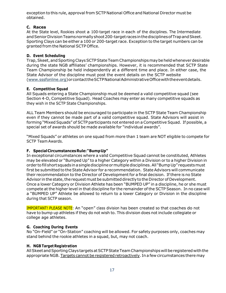exception to this rule, approval from SCTP National Office and National Director must be obtained.

#### **C. Races**

At the State level, Rookies shoot a 100-target race in each of the disciplines. The Intermediate and Senior Division Teams normally shoot 200-target races in the disciplines of Trap and Skeet. Sporting Clays can be either a 100 or 200-target race. Exception to the target numbers can be granted from the National SCTP Office.

#### **D. Event Scheduling**

Trap, Skeet, and Sporting Clays SCTP State Team Championships may be held whenever desirable during the state NGB affiliates' championships. However, it is recommended that SCTP State Team Championship be held independently at a different time and place. In either case, the State Advisor of the discipline must post the event details on the SCTP website [\(www.sssfonline.org\)](http://www.sssfonline.org/)orcontacttheSCTPNationalAdministrativeOfficewiththeeventdetails.

#### **E. Competitive Squad**

All Squads entering a State Championship must be deemed a valid competitive squad (see Section 4-D, Competitive Squad). Head Coaches may enter as many competitive squads as they wish in the SCTP State Championships.

ALL Team Members should be encouraged to participate in the SCTP State Team Championship even if they cannot be made part of a valid competitive squad. State Advisors will assist in forming "Mixed Squads" of SCTP participants not entered on a Competitive Squad. If possible, a special set of awards should be made available for "individual awards".

"Mixed Squads" or athletes on one squad from more than 1 team are NOT eligible to compete for SCTP Team Awards.

#### **F. SpecialCircumstancesRule:"BumpUp"**

In exceptional circumstances where a valid Competitive Squad cannot be constituted, Athletes may be elevated or "Bumped Up" to a higher Category within a Division or to a higher Division in order tofill short squads inasingledisciplineormultipledisciplines.All "BumpUp" requestsmust first be submitted to the State Advisor for a recommendation. State Advisors will communicate their recommendation to the Director of Development for a final decision. If there is no State Advisor in the state, the request must be submitted directly to the Director of Development. Once a lower Category or Division Athlete has been "BUMPED UP" in a discipline, he or she must compete at the higher level in that discipline for the remainder of the SCTP Season. In no case will a "BUMPED UP" Athlete be allowed to return to a lower Category or Division in the discipline during that SCTP season.

IMPORTANT! PLEASE NOTE: An "open" class division has been created so that coaches do not have to bump up athletes if they do not wish to. This division does not include collegiate or college age athletes.

#### **G. Coaching During Events**

No "On-Field" or "On-Station" coaching will be allowed. For safety purposes only, coaches may stand behind the rookie athletes in a squad, but, may not coach.

#### **H. NGB Target Registration**

All Skeet and Sporting Clays targets at SCTP State Team Championships will be registered with the appropriate NGB. Targets cannot be registered retroactively. In a few circumstances there may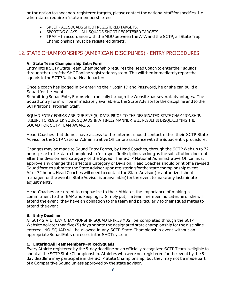be the option to shoot non-registered targets, please contact the national staff for specifics. I.e., when states require a "state membership fee".

- SKEET –ALL SQUADS SHOOTREGISTERED TARGETS.
- SPORTING CLAYS ALL SQUADS SHOOT REGISTERED TARGETS.
- TRAP In accordance with the MOU between the ATA and the SCTP, all State Trap Championships must be registered targets.

# <span id="page-17-0"></span>12. STATE CHAMPIONSHIPS (AMERICAN DISCIPLINES) - ENTRY PROCEDURES

#### **A. State Team Championship Entry Form**

Entry into a SCTP State Team Championship requires the Head Coach to enter their squads throughtheuseoftheSHOTonlineregistrationsystem. Thiswillthenimmediatelyreportthe squads to the SCTP National Headquarters.

Once a coach has logged in by entering their Login ID and Password, he or she can build a Squad for the event.

Submitting Squad Entry Forms electronically through the Website has several advantages. The Squad Entry Form will be immediately available to the State Advisor for the discipline and to the SCTPNational Program Staff.

SQUAD ENTRY FORMS ARE DUE FIVE (5) DAYS PRIOR TO THE DESIGNATED STATE CHAMPIONSHIP. FAILURE TO REGISTER YOUR SOUADS IN A TIMELY MANNER WILL RESULT IN DISOUALIFYING THE SQUAD FOR SCTP TEAM AWARDS.

Head Coaches that do not have access to the Internet should contact either their SCTP State Advisor or the SCTP National Administrative Office for assistance with the Squad entry procedure.

Changes may be made to Squad Entry Forms, by Head Coaches, through the SCTP Web up to 72 hours prior to the state championship for a specific discipline, so long as the substitution does not alter the division and category of the Squad. The SCTP National Administrative Office must approve any change that affects a Category or Division. Head Coaches should print off a revised Squad form to submit to the State Advisor upon registering for the state championship event. After 72 hours, Head Coaches will need to contact the State Advisor (or authorized shoot manager for the eventif State Advisor is unavailable) for the eventto make any last minute adjustments.

Head Coaches are urged to emphasize to their Athletes the importance of making a commitment to the TEAM and keeping it. Simply put, if a team member indicates he or she will attend the event, they have an obligation to the team and particularly to their squad mates to attend theevent.

#### **B. Entry Deadline**

All SCTP STATE TEAM CHAMPIONSHIP SQUAD ENTRIES MUST be completed through the SCTP Website no later than five (5) days prior to the designated state championship for the discipline entered. NO SQUAD will be allowed in any SCTP State Championship event without an appropriateSquadEntryonrecordintheSHOTsystem.

#### **C. EnteringAllTeamMembers–MixedSquads**

Every Athlete registered by the 5-day deadline on an officially recognized SCTP Team is eligible to shoot at the SCTP State Championship. Athletes who were not registered for the event by the 5day deadline may participate in the SCTP State Championship, but they may not be made part of a Competitive Squad unless approved by the state advisor.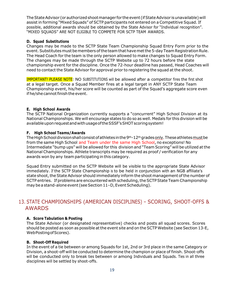The State Advisor (or authorized shoot manager for the event (if State Advisor is unavailable) will assist in forming "Mixed Squads" of SCTP participants not entered on a Competitive Squad. If possible, additional awards should be obtained by the State Advisor for "Individual recognition". "MIXED SQUADS" ARE NOT ELIGIBLE TO COMPETE FOR SCTP TEAM AWARDS.

#### **D. Squad Substitutions**

Changes may be made to the SCTP State Team Championship Squad Entry Form prior to the event. Substitutes must be members of the team that have met the 5-day Team Registration Rule. The Head Coach for the team is the only person allowed to make changes to Squad Entry Form. The changes may be made through the SCTP Website up to 72 hours before the state championship event for the discipline. Once the 72-hour deadline has passed, Head Coaches will need to contact the State Advisor for approval prior to registering the squad at the shoot.

IMPORTANT! PLEASE NOTE: NO SUBSTITUTIONS will be allowed after a competitor fires the first shot at a legal target. Once a Squad Member fires at a legal target in ANY SCTP State Team Championship event, his/her score will be counted as part of the Squad's aggregate score even if he/she cannot finish the event.

#### **E. High School Awards**

The SCTP National Organization currently supports a "concurrent" High School Division at its National Championships. We will encourage states to do so as well. Medals for this division will be availableuponrequestandwithusageoftheSSSF'sSHOTscoringsystem!

#### **F. High School Teams/Awards**

The High School division shall consist of athletes in the 9th-12th grades only. These athletes must be from the same High School and Team under the same High School, no exceptions! No Intermediate "bump ups" will be allowed for this division and "Team Scoring" will be utilized atthe NationalChampionships. Athlete transcripts may be required as proof / verification for any awards won by any team participating in this category.

Squad Entry submitted on the SCTP Website will be visible to the appropriate State Advisor immediately. If the SCTP State Championship is to be held in conjunction with an NGB affiliate's state shoot, the State Advisor should immediately inform the shoot management of the number of SCTP entries. If problems are encountered with scheduling, the SCTP State Team Championship may be a stand-alone event (see Section 11–D, Event Scheduling).

# <span id="page-18-0"></span>13. STATE CHAMPIONSHIPS (AMERICAN DISCIPLINES) – SCORING, SHOOT-OFFS & AWARDS

#### **A. Score Tabulation & Posting**

The State Advisor (or designated representative) checks and posts all squad scores. Scores should be posted as soon as possible at the event site and on the SCTP Website (see Section 13-E, WebPostingofScores).

#### **B. Shoot-Off Required**

In the event of a tie between or among Squads for 1st, 2nd or 3rd place in the same Category or Division, a shoot-off will be conducted to determine the champion or place of finish. Shoot-offs will be conducted only to break ties between or among Individuals and Squads. Ties in all three disciplines will be settled by shoot-offs.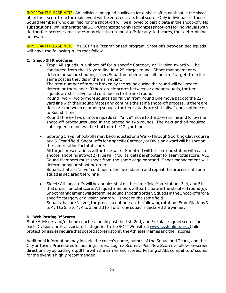**IMPORTANT! PLEASE NOTE:** An individual or squad qualifying for a shoot-off must shoot in the shootoff or their score from the main event will be entered as its final score. Only individuals or those Squad Members who qualified for the shoot-off will be allowed to participate in the shoot-off. No substitutions.WhiletheNationalSCTPOrganizationonlyrecognizesshoot-offsfor individualswith tied perfect scores, some states may elect to run shoot-offs for any tied scores, thus determining an award.

IMPORTANT! PLEASE NOTE: The SCTP is a "team" based program. Shoot-offs between tied squads will have the following rules that follow.

#### **C. Shoot-Off Procedures**

 Trap: All squads in a shoot-off for a specific Category or Division award will be conducted from the 16-yard line in a 25-target round. Shoot management will determine squad shooting order. Squad members shoot all shoot-off targets from the same post as they did in the main event.

The total number of targets broken by the squad during the round will be used to determine the winner. If there are tie scores between or among squads, the tied squads are still "alive" and continue on to the next round.

Round Two – Two or more squads still "alive" from Round One move back to the 22 yard line with their squad mates and continue the same shoot-off process. Ifthere are tie scores between or among squads, the tied squads are still "alive" and continue on to Round Three.

Round Three – Two or more squads still "alive" move to the 27-yard line and follow the shoot-off procedures used in the preceding two rounds. The next and all required subsequent rounds will be shot from the 27-yard line.

• Sporting Clays: Shoot-offs may be conducted on a Walk-Through Sporting Clays course or a 5-Stand field. Shoot- offs for a specific Category or Division award will be shot on the same station for total score.

All target presentations will be true pairs. Shoot-off will be from one station with each shooter shootingattwo(2)TruePair (four targetsper shooter) for teamtotal score. ALL Squad Members must shoot from the same cage or stand. Shoot management will determinesquadshootingorder.

Squads that are "alive" continue to the next station and repeat the process until one squad is declared the winner.

 Skeet: All shoot-offs will be doubles shot on thesame field from stations 3, 4, and 5 in that order, for total score. All squad members will participate in the shoot-off round(s). Shoot management will determine squad shooting order. Squads in the Shoot-offs for a specific category or division award will shoot on the same field. Squads that are "alive", the process continues in the following rotation: From Stations 3 to 4, 4 to 5, 5 to 4, 4 to 3, and 3 to 4 until one squad is declared the winner.

#### **D. Web Posting Of Scores**

State Advisors and/or head coaches should post the 1st, 2nd, and 3rd place squad scores for each Division and its associated categories to theSCTPWebsite at [www.sssfonline.org.](http://www.sssfonline.org.child/) Child protectionissuesrequirethatpostedscoreslistonlytheAthletes'namesandtheir scores.

Additional information may include the coach's name, names of the Squad and Team, and the CityorTown. Procedures forpostingscores: Login > Scores> PostNewScores> followon-screen directions by uploading a .pdf file with the names and scores. Posting of ALL competitors' scores for the event is highly recommended.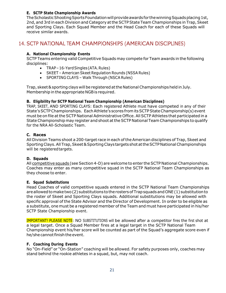#### **E. SCTP State Championship Awards**

The Scholastic Shooting Sports Foundation will provide awards for the winning Squads placing 1st, 2nd, and 3rd in each Division and Category at the SCTP State Team Championships in Trap, Skeet and Sporting Clays. Each Squad Member and the Head Coach for each of these Squads will receive similar awards.

## <span id="page-20-0"></span>14. SCTP NATIONAL TEAM CHAMPIONSHIPS (AMERICAN DISCIPLINES)

#### **A. National Championship Events**

SCTP Teams entering valid Competitive Squads may compete for Team awards in the following disciplines:

- TRAP-16-Yard Singles (ATA. Rules)
- SKEET American Skeet Regulation Rounds (NSSA Rules)
- SPORTING CLAYS Walk Through (NSCA Rules)

Trap, skeet & sporting clays will be registered at the National Championships held in July. Membership in the appropriate NGBis required.

#### **B. Eligibility for SCTP National Team Championship (American Disciplines)**

TRAP, SKEET, AND SPORTING CLAYS: Each registered Athlete must have competed in any of their State's SCTP Championships. Each Athlete's scores from its SCTP State Championship(s) event must be on file atthe SCTP National Administrative Office. All SCTP Athletes that participated in a StateChampionship may register and shoot attheSCTP National Team Championships to qualify for the NRA All-Scholastic Team.

#### **C. Races**

All Division Teams shoot a 200-target race in each ofthe American disciplines of Trap, Skeet and Sporting Clays. All Trap, Skeet & Sporting Clays targets shot at the SCTP National Championships will be registered targets.

#### **D. Squads**

All competitive squads (see Section 4-D) are welcome to enter theSCTP National Championships. Coaches may enter as many competitive squad in the SCTP National Team Championships as they choose to enter.

#### **E. Squad Substitutions**

Head Coaches of valid competitive squads entered in the SCTP National Team Championships are allowed to make two (2) substitutions to the rosters of Trap squads and ONE (1) substitution to the roster of Skeet and Sporting Clays squads. Additional substitutions may be allowed with specific approval of the State Advisor and the Director of Development. In order to be eligible as a substitute, one must be a registered member of the Team and must have participated in his/her SCTP State Championship event.

IMPORTANT! PLEASE NOTE: NO SUBSTITUTIONS will be allowed after a competitor fires the first shot at a legal target. Once a Squad Member fires at a legal target in the SCTP National Team Championship event his/her score will be counted as part of the Squad's aggregate score even if he/she cannot finish the event.

#### **F. Coaching During Events**

No "On-Field" or "On-Station" coaching will be allowed. For safety purposes only, coaches may stand behind the rookie athletes in a squad, but, may not coach.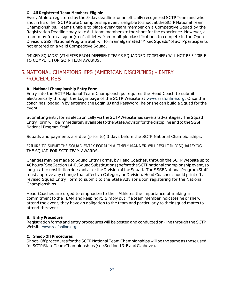#### **G. All Registered Team Members Eligible**

Every Athlete registered by the 5-day deadline for an officially recognized SCTP Team and who shot in his or her SCTP State Championship event is eligible to shoot at the SCTP National Team Championships. Teams unable to place every team member on a Competitive Squad by the Registration Deadline may take ALL team members to the shoot for the experience. However, a team may form a squad(s) of athletes from multiple classifications to compete in the Open Division.SSSFNationalProgramStaffwillformamalgamated"MixedSquads"ofSCTPparticipants not entered on a valid Competitive Squad.

"MIXED SQUADS" (ATHLETES FROM DIFFERENT TEAMS SQUADDED TOGETHER) WILL NOT BE ELIGIBLE TO COMPETE FOR SCTP TEAM AWARDS.

# <span id="page-21-0"></span>15. NATIONAL CHAMPIONSHIPS (AMERICAN DISCIPLINES) – ENTRY PROCEDURES

#### **A. National Championship Entry Form**

Entry into the SCTP National Team Championships requires the Head Coach to submit electronically through the Login page of the SCTP Website at [www.sssfonline.org.](http://www.sssfonline.org/) Once the coach has logged in by entering the Login ID and Password, he or she can build a Squad for the event.

SubmittingentryformselectronicallyviatheSCTPWebsitehasseveraladvantages. TheSquad Entry Form will be immediately available to the State Advisor for the discipline and to the SSSF National Program Staff.

Squads and payments are due (prior to) 3 days before the SCTP National Championships.

FAILURE TO SUBMIT THE SQUAD ENTRY FORM IN A TIMELY MANNER WILL RESULT IN DISQUALIFYING THE SQUAD FOR SCTP TEAM AWARDS.

Changes may be made to Squad Entry Forms, by Head Coaches, through the SCTP Website up to 48hours(SeeSection14-E,SquadSubstitutions)beforetheSCTPnationalchampionshipevent,so long as the substitution does not alter the Division of the Squad. The SSSF National Program Staff must approve any change that affects a Category or Division. Head Coaches should print off a revised Squad Entry Form to submit to the State Advisor upon registering for the National Championships.

Head Coaches are urged to emphasize to their Athletes the importance of making a commitment to the TEAM and keeping it. Simply put, if a team member indicates he or she will attend the event, they have an obligation to the team and particularly to their squad mates to attend theevent.

#### **B. Entry Procedure**

Registration forms and entry procedures will be posted and conducted on-line through the SCTP Website [www.sssfonline.org.](http://www.sssfonline.org./)

#### **C. Shoot-Off Procedures**

Shoot-Off procedures for the SCTP National Team Championships will be the same as those used for SCTP State Team Championships (see Section 13-B and C, above).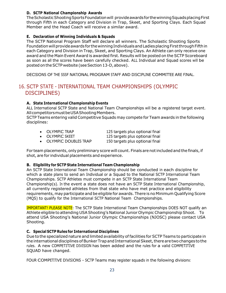#### **D. SCTP National Championship Awards**

The Scholastic Shooting Sports Foundation will provide awards for the winning Squads placing First through Fifth in each Category and Division in Trap, Skeet, and Sporting Clays. Each Squad Member and the Head Coach will receive a similar award.

#### **E. Declaration of Winning Individuals & Squads**

The SCTP National Program Staff will declare all winners. The Scholastic Shooting Sports Foundation will provide awards for the winning Individuals and Ladies placing First through Fifth in each Category and Division in Trap, Skeet, and Sporting Clays. An Athlete can only receive one award and the Main Event Award is awarded first. Results will be posted on the SCTP Scoreboard as soon as all the scores have been carefully checked. ALL Individual and Squad scores will be posted on the SCTP website (see Section 13-D, above).

DECISIONS OF THE SSSF NATIONAL PROGRAM STAFF AND DISCIPLINE COMMITTEE ARE FINAL.

# <span id="page-22-0"></span>16. SCTP STATE - INTERNATIONAL TEAM CHAMPIONSHIPS (OLYMPIC DISCIPLINES)

#### **A. State International Championship Events**

ALL International SCTP State and National Team Championships will be a registered target event. All competitors must be USA Shooting Members.

SCTP Teams entering valid Competitive Squads may compete for Team awards in the following disciplines:

- OLYMPIC TRAP 125 targets plus optional final
- OLYMPIC SKEET 125 targets plus optional final
- 
- 
- OLYMPIC DOUBLES TRAP 150 targets plus optional final

For team placements, only preliminary score will count. Finals arenotincluded and the finals,if shot, are for individual placements and experience.

#### **B. Eligibility for SCTP State International Team Championship**

An SCTP State International Team Championship should be conducted in each discipline for which a state plans to send an Individual or a Squad to the National SCTP International Team Championships. SCTP Athletes must compete in an SCTP State International Team Championship(s). In the event a state does not have an SCTP State International Championship, all currently registered athletes from that state who have met practice and eligibility requirements, may participate and be eligible for awards. There is no Minimum Qualifying Score (MQS) to qualify for the International SCTP National Team Championships.

IMPORTANT! PLEASE NOTE: The SCTP State International Team Championships DOES NOT qualify an Athlete eligible to attending USAShooting's National Junior Olympic Championship Shoot. To attend USA Shooting's National Junior Olympic Championships (NJOSC) please contact USA Shooting.

#### **C. Special SCTP Rules for International Disciplines**

Due to the specialized nature and limited availability of facilities for SCTP Teams to participate in the international disciplines of Bunker Trap and International Skeet, there are two changes to the rules. A new COMPETITIVE DIVISION has been added and the rules for a valid COMPETITIVE SQUAD have changed.

FOUR COMPETITIVE DIVISIONS – SCTP Teams may register squads in the following divisions: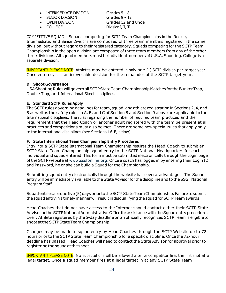- INTERMEDIATE DIVISION Grades 5 8
- SENIOR DIVISION Grades 9 12
- 
- 

 OPEN DIVISION Grades 12 and Under • COLLEGE Division I, II, III

COMPETITIVE SQUAD – Squads competing for SCTP Team Championships in the Rookie, Intermediate, and Senior Divisions are composed of three team members registered in the same division, but without regard to their registered category. Squads competing for the SCTP Team Championship in the open division are composed of three team members from any of the other three divisions. All squad members must be individual members of U.S.A. Shooting. College is a separate division.

IMPORTANT! PLEASE NOTE: Athletes may be entered in only one (1) SCTP division per target year. Once entered, it is an irrevocable decision for the remainder of the SCTP target year.

#### **D. Shoot Governance**

USA Shooting Rules will govern all SCTP State Team Championship Matches for the Bunker Trap, Double Trap, and International Skeet disciplines.

#### **E. Standard SCTP Rules Apply**

The SCTP rules governing deadlines for team, squad, and athlete registration in Sections 2, 4, and 5 as well as the safety rules in A, B, and C of Section 8 and Section 9 above are applicable to the International disciplines. The rules regarding the number of required team practices and the requirement that the Head Coach or another adult registered with the team be present at all practices and competitions must also be met. There are some new special rules that apply only to the international disciplines (see Sections 16-F, below).

#### **F. State International Team Championship Entry Procedures**

Entry into a SCTP State International Team Championship requires the Head Coach to submit an SCTP State Team Championship squad entry to the SCTP National Headquarters for each individual and squad entered. This form must be submitted electronically through the Login page of the SCTP website at [www.sssfonline.org.](http://www.sssfonline.org./) Once a coach has logged in by entering their Login ID and Password, he or she can build a Squad for the Championship.

Submitting squad entry electronically through the website has several advantages. The Squad entry will be immediately available to the State Advisor for the discipline and to the SSSF National Program Staff.

Squad entries are due five (5) days prior to the SCTP State Team Championship. Failure to submit thesquadentryinatimelymannerwill resultindisqualifyingthesquadforSCTPTeamawards.

Head Coaches that do not have access to the Internet should contact either their SCTP State Advisor or the SCTP National Administrative Office for assistance with the Squad entry procedure. Every Athlete registered by the 5-day deadline on an officially recognized SCTP Team is eligible to shootattheSCTPStateTeamChampionship.

Changes may be made to squad entry by Head Coaches through the SCTP Website up to 72 hours prior to the SCTP State Team Championship for a specific discipline. Once the 72-hour deadline has passed, Head Coaches will need to contact the State Advisor for approval prior to registering the squad at the shoot.

IMPORTANT! PLEASE NOTE: No substitutions will be allowed after a competitor fires the first shot at a legal target. Once a squad member fires at a legal target in at any SCTP State Team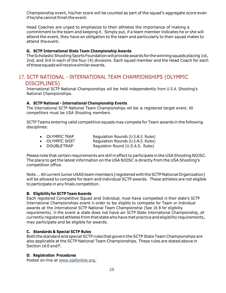Championship event, his/her score will be counted as part of the squad's aggregate score even if he/she cannot finish the event.

Head Coaches are urged to emphasize to their athletes the importance of making a commitment to the team and keeping it. Simply put, if a team member indicates he or she will attend the event, they have an obligation to the team and particularly to their squad mates to attend theevent.

#### **G. SCTP International State Team Championship Awards**

The Scholastic Shooting Sports Foundation will provide awards for the winning squads placing 1st, 2nd, and 3rd in each of the four (4) divisions. Each squad member and the Head Coach for each ofthesesquadswillreceivesimilarawards.

## <span id="page-24-0"></span>17. SCTP NATIONAL - INTERNATIONAL TEAM CHAMPIONSHIPS (OLYMPIC DISCIPLINES)

International SCTP National Championships will be held independently from U.S.A. Shooting's National Championships.

#### **A. SCTP National - International Championship Events**

The International SCTP National Team Championships will be a registered target event. All competitors must be USA Shooting members.

SCTP Teams entering valid competitive squads may compete for Team awards in the following disciplines:

- OLYMPIC TRAP Requiation Rounds (U.S.A.S. Rules)
- OLYMPIC SKEET Regulation Rounds (U.S.A.S. Rules)
- DOUBLETRAP Regulation Round (U.S.A.S. Rules)

Pleasenote that certain requirements are still ineffectto participate in the USAShooting NOJSC. The place to get the latest information on the USA NJOSC is directly from the USA Shooting's competition office.

Note.... All current Junior USAS team members (registered with the SCTP National Organization) will be allowed to compete for team and individual SCTP awards. These athletes are not eligible to participate in any finals competition.

#### **B. Eligibility for SCTP Team Awards**

Each registered Competitive Squad and Individual, must have competed in their state's SCTP International Championships event in order to be eligible to compete for Team or Individual awards at the International SCTP National Team Championship (See 16 B for eligibility requirements). In the event a state does not have an SCTP State International Championship, all currently registered athletes from that state who have met practice and eligibility requirements, may participate and be eligible for awards.

#### **C. Standards & Special SCTP Rules**

Both the standard and special SCTP rules thatgovern theSCTPState Team Championships are also applicable at the SCTP National Team Championships. These rules are stated above in Section 16 E and F.

#### **D. Registration Procedures**

Posted on-line at [www.sssfonline.org.](http://www.sssfonline.org./)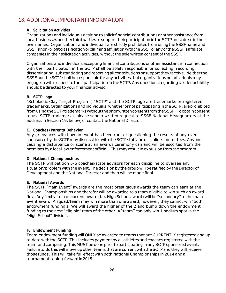# <span id="page-25-0"></span>18. ADDITIONAL IMPORTANT INFORMATION

#### **A. Solicitation Activities**

Organizations and individuals desiring to solicit financial contributions or other assistance from local businesses or other third parties to support their participation in the SCTP must do so in their own names. Organizations and individuals are strictly prohibited from using the SSSF name and SSSF's non-profit classification or claiming affiliation with the SSSF or any of the SSSF's affiliate companies in their solicitation activities, without the sole written consent of the SSSF.

Organizations and individuals accepting financial contributions or other assistance in connection with their participation in the SCTP shall be solely responsible for collecting, recording, disseminating, substantiating and reporting all contributions or support they receive. Neither the SSSF nor the SCTP shall be responsible for any activities that organizations or individuals may engage in with respect to their participation in the SCTP. Any questions regarding tax deductibility should be directed to your financial advisor.

#### **B. SCTP Logo**

"Scholastic Clay Target Program", "SCTP" and the SCTP logo are trademarks or registered trademarks. Organizations and individuals, whether or not participating in the SCTP, are prohibited fromusingtheSCTPtrademarkswithoutthepriorwrittenconsentfromtheSSSF. Toobtainconsent to use SCTP trademarks, please send a written request to SSSF National Headquarters at the address in Section 19, below, or contact the National Director.

#### **C. Coaches/Parents Behavior**

Any grievances with how an event has been run, or questioning the results of any event sponsored by the SCTP may discuss this with the SCTP staff and discipline committees. Anyone causing a disturbance or scene at an awards ceremony can and will be escorted from the premises bya local law enforcement official. Thismayresultin expulsion fromtheprogram.

#### **D. National Championships**

The SCTP will petition 5-6 coaches/state advisors for each discipline to oversee any situation/problem with the event. The decision by the group will be ratified by the Director of Development and the National Director and then will be made final.

#### **E. National Awards**

The SCTP "Main Event" awards are the most prestigious awards the team can earn at the National Championships and therefor will be awarded to a team eligible to win such an award first. Any "extra" or concurrent award (i.e. High School award) will be "secondary" to the main event award. A squad/team may win more than one award, however, they cannot win "both" endowment funding's. We will award the higher of the 2 and bump down the endowment funding to the next "eligible" team of the other. A "team" can only win 1 podium spot in the "High School" division.

#### **F. Endowment Funding**

Team endowment funding will ONLY be awarded to teams that are CURRENTLY registered and up to date with the SCTP. This includes payment by all athletes and coaches registered with the team and competing. This MUST be done prior to participating in any SCTP sponsored event. Failure to do this will move up other teams that are current with the SCTP and they will receive those funds. This will take full effect with both National Championships in 2014 and all tournaments going forward in 2015.